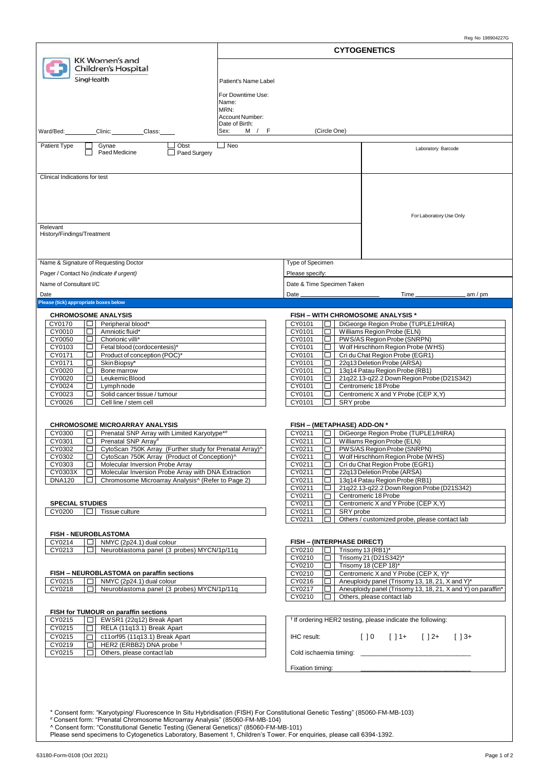|                                                                                                                                                                                                              |                                   |                                             |                          |                                                                                          | Reg No 198904227G |
|--------------------------------------------------------------------------------------------------------------------------------------------------------------------------------------------------------------|-----------------------------------|---------------------------------------------|--------------------------|------------------------------------------------------------------------------------------|-------------------|
| KK Women's and                                                                                                                                                                                               |                                   |                                             |                          | <b>CYTOGENETICS</b>                                                                      |                   |
| Children's Hospital                                                                                                                                                                                          |                                   |                                             |                          |                                                                                          |                   |
| SingHealth                                                                                                                                                                                                   | Patient's Name Label              |                                             |                          |                                                                                          |                   |
|                                                                                                                                                                                                              | For Downtime Use:<br>Name:        |                                             |                          |                                                                                          |                   |
|                                                                                                                                                                                                              | MRN:                              |                                             |                          |                                                                                          |                   |
|                                                                                                                                                                                                              | Account Number:<br>Date of Birth: |                                             |                          |                                                                                          |                   |
| Clinic:<br>Ward/Bed:<br>Class:                                                                                                                                                                               | Sex: M / F                        |                                             | (Circle One)             |                                                                                          |                   |
| ⊿ Obst<br>Patient Type<br>Gynae<br>Paed Medicine<br>□ Paed Surgery                                                                                                                                           | $\Box$ Neo                        |                                             |                          | Laboratory Barcode                                                                       |                   |
| Clinical Indications for test                                                                                                                                                                                |                                   |                                             |                          |                                                                                          |                   |
|                                                                                                                                                                                                              |                                   |                                             |                          |                                                                                          |                   |
|                                                                                                                                                                                                              |                                   |                                             |                          |                                                                                          |                   |
|                                                                                                                                                                                                              |                                   |                                             |                          | For Laboratory Use Only                                                                  |                   |
| Relevant<br>History/Findings/Treatment                                                                                                                                                                       |                                   |                                             |                          |                                                                                          |                   |
|                                                                                                                                                                                                              |                                   |                                             |                          |                                                                                          |                   |
|                                                                                                                                                                                                              |                                   |                                             |                          |                                                                                          |                   |
| Name & Signature of Requesting Doctor<br>Pager / Contact No (indicate if urgent)                                                                                                                             |                                   | Type of Specimen<br>Please specify:         |                          |                                                                                          |                   |
| Name of Consultant I/C                                                                                                                                                                                       |                                   | Date & Time Specimen Taken                  |                          |                                                                                          |                   |
| Date                                                                                                                                                                                                         |                                   | Date                                        |                          | $Time_$                                                                                  | .am / pm          |
| Please (tick) appropriate boxes below<br><b>CHROMOSOME ANALYSIS</b>                                                                                                                                          |                                   |                                             |                          | <b>FISH - WITH CHROMOSOME ANALYSIS *</b>                                                 |                   |
| CY0170<br>Peripheral blood*                                                                                                                                                                                  |                                   | CY0101                                      |                          | DiGeorge Region Probe (TUPLE1/HIRA)                                                      |                   |
| CY0010<br>Amniotic fluid*<br>CY0050<br>Chorionic villi*<br>$\perp$                                                                                                                                           |                                   | CY0101<br>CY0101                            | $\Box$<br>$\Box$         | Williams Region Probe (ELN)<br>PWS/AS Region Probe (SNRPN)                               |                   |
| CY0103<br>Fetal blood (cordocentesis)*                                                                                                                                                                       |                                   | CY0101                                      | ப                        | Wolf Hirschhorn Region Probe (WHS)                                                       |                   |
| CY0171<br>Product of conception (POC)*                                                                                                                                                                       |                                   | CY0101                                      | ப                        | Cri du Chat Region Probe (EGR1)                                                          |                   |
| CY0171<br>Skin Biopsy*<br>L<br>CY0020<br>Bone marrow                                                                                                                                                         |                                   | CY0101<br>CY0101                            | □<br>□                   | 22q13 Deletion Probe (ARSA)<br>13q14 Patau Region Probe (RB1)                            |                   |
| CY0020<br>Leukemic Blood                                                                                                                                                                                     |                                   | CY0101                                      |                          | 21q22.13-q22.2 Down Region Probe (D21S342)                                               |                   |
| CY0024<br>Lymphnode<br>CY0023<br>Solid cancer tissue / tumour                                                                                                                                                |                                   | CY0101<br>CY0101                            | □                        | Centromeric 18 Probe<br>Centromeric X and Y Probe (CEP X, Y)                             |                   |
| CY0026<br>Cell line / stem cell<br>$\Box$                                                                                                                                                                    |                                   | CY0101                                      | SRY probe                |                                                                                          |                   |
| <b>CHROMOSOME MICROARRAY ANALYSIS</b>                                                                                                                                                                        |                                   |                                             |                          |                                                                                          |                   |
| CY0300<br>Prenatal SNP Array with Limited Karyotype <sup>*#</sup><br>□                                                                                                                                       |                                   | <b>FISH - (METAPHASE) ADD-ON *</b>          |                          | CY0211  □   DiGeorge Region Probe (TUPLE1/HIRA)                                          |                   |
| CY0301<br>$\Box$<br>Prenatal SNP Array#                                                                                                                                                                      |                                   | CY0211                                      |                          | Williams Region Probe (ELN)                                                              |                   |
| CY0302<br>顶<br>CytoScan 750K Array (Further study for Prenatal Array)^<br>CytoScan 750K Array (Product of Conception)^<br>CY0302<br>$\Box$                                                                   |                                   | CY0211<br>CY0211                            | □                        | □   PWS/AS Region Probe (SNRPN)<br>Wolf Hirschhorn Region Probe (WHS)                    |                   |
| Molecular Inversion Probe Array<br>CY0303<br>$\Box$                                                                                                                                                          |                                   | CY0211                                      | IO 1                     | Cri du Chat Region Probe (EGR1)                                                          |                   |
| Molecular Inversion Probe Array with DNA Extraction<br>CY0303X<br>$\Box$<br>Chromosome Microarray Analysis <sup>^</sup> (Refer to Page 2)<br><b>DNA120</b>                                                   |                                   | CY0211<br>CY0211                            | 10.<br>$\Box$            | 22q13 Deletion Probe (ARSA)<br>13q14 Patau Region Probe (RB1)                            |                   |
|                                                                                                                                                                                                              |                                   | CY0211                                      | $\Box$                   | 21q22.13-q22.2 Down Region Probe (D21S342)                                               |                   |
| <b>SPECIAL STUDIES</b>                                                                                                                                                                                       |                                   | CY0211                                      | $\Box$                   | Centromeric 18 Probe                                                                     |                   |
| $\Box$ Tissue culture<br>CY0200                                                                                                                                                                              |                                   | CY0211<br>CY0211                            | $\Box$<br>SRY probe<br>O | Centromeric X and Y Probe (CEP X, Y)                                                     |                   |
|                                                                                                                                                                                                              |                                   | CY0211                                      | <b>Contract</b>          | Others / customized probe, please contact lab                                            |                   |
| <b>FISH - NEUROBLASTOMA</b>                                                                                                                                                                                  |                                   |                                             |                          |                                                                                          |                   |
| CY0214<br>$\Box$ NMYC (2p24.1) dual colour<br>Neuroblastoma panel (3 probes) MYCN/1p/11q<br>CY0213<br>▎□                                                                                                     |                                   | <b>FISH - (INTERPHASE DIRECT)</b><br>CY0210 |                          | $\Box$ Trisomy 13 (RB1)*                                                                 |                   |
|                                                                                                                                                                                                              |                                   | CY0210                                      | 10 I                     | Trisomy 21 (D21S342)*                                                                    |                   |
|                                                                                                                                                                                                              |                                   | CY0210                                      | 10 I                     | Trisomy 18 (CEP 18)*                                                                     |                   |
| FISH - NEUROBLASTOMA on paraffin sections<br>NMYC (2p24.1) dual colour<br>CY0215<br>10 I                                                                                                                     |                                   | CY0210<br>CY0216                            | 10 I<br>$\Box$           | Centromeric X and Y Probe (CEP X, Y)*<br>Aneuploidy panel (Trisomy 13, 18, 21, X and Y)* |                   |
| Neuroblastoma panel (3 probes) MYCN/1p/11q<br>CY0218<br>$\Box$                                                                                                                                               |                                   | CY0217                                      |                          | $\Box$ Aneuploidy panel (Trisomy 13, 18, 21, X and Y) on paraffin*                       |                   |
|                                                                                                                                                                                                              |                                   | CY0210                                      | $\Box$                   | Others, please contact lab                                                               |                   |
| FISH for TUMOUR on paraffin sections<br>EWSR1 (22q12) Break Apart<br>CY0215                                                                                                                                  |                                   |                                             |                          | <sup>†</sup> If ordering HER2 testing, please indicate the following:                    |                   |
| CY0215<br>RELA (11q13.1) Break Apart                                                                                                                                                                         |                                   |                                             |                          |                                                                                          |                   |
| CY0215<br>c11 or f95 (11 q 13.1) Break Apart<br>$\Box$                                                                                                                                                       |                                   | IHC result:                                 |                          | $[ ]0 [ ]1+ [ ]2+ [ ]3+$                                                                 |                   |
| CY0219<br>HER2 (ERBB2) DNA probe <sup>+</sup><br>Others, please contact lab<br>CY0215<br>□                                                                                                                   |                                   |                                             |                          |                                                                                          |                   |
|                                                                                                                                                                                                              |                                   |                                             |                          |                                                                                          |                   |
|                                                                                                                                                                                                              |                                   | Fixation timing:                            |                          |                                                                                          |                   |
|                                                                                                                                                                                                              |                                   |                                             |                          |                                                                                          |                   |
|                                                                                                                                                                                                              |                                   |                                             |                          |                                                                                          |                   |
|                                                                                                                                                                                                              |                                   |                                             |                          |                                                                                          |                   |
| * Consent form: "Karyotyping/ Fluorescence In Situ Hybridisation (FISH) For Constitutional Genetic Testing" (85060-FM-MB-103)<br># Consent form: "Prenatal Chromosome Microarray Analysis" (85060-FM-MB-104) |                                   |                                             |                          |                                                                                          |                   |

^ Consent form: "Constitutional Genetic Testing (General Genetics)" (85060-FM-MB-101)

Please send specimens to Cytogenetics Laboratory, Basement 1, Children's Tower. For enquiries, please call 6394-1392.